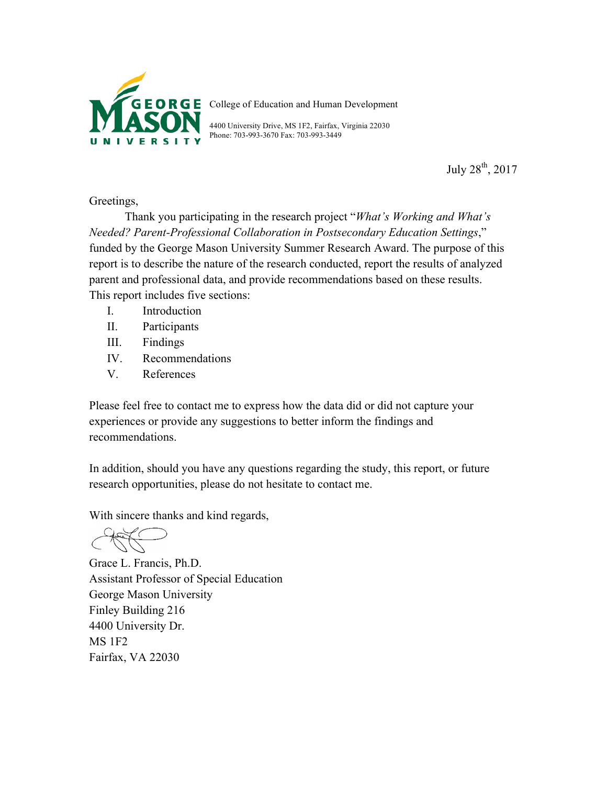

College of Education and Human Development

4400 University Drive, MS 1F2, Fairfax, Virginia 22030 Phone: 703-993-3670 Fax: 703-993-3449

July 28th, 2017

## Greetings,

Thank you participating in the research project "*What's Working and What's Needed? Parent-Professional Collaboration in Postsecondary Education Settings*," funded by the George Mason University Summer Research Award. The purpose of this report is to describe the nature of the research conducted, report the results of analyzed parent and professional data, and provide recommendations based on these results. This report includes five sections:

- I. Introduction
- II. Participants
- III. Findings
- IV. Recommendations
- V. References

Please feel free to contact me to express how the data did or did not capture your experiences or provide any suggestions to better inform the findings and recommendations.

In addition, should you have any questions regarding the study, this report, or future research opportunities, please do not hesitate to contact me.

With sincere thanks and kind regards,

Grace L. Francis, Ph.D. Assistant Professor of Special Education George Mason University Finley Building 216 4400 University Dr. MS 1F2 Fairfax, VA 22030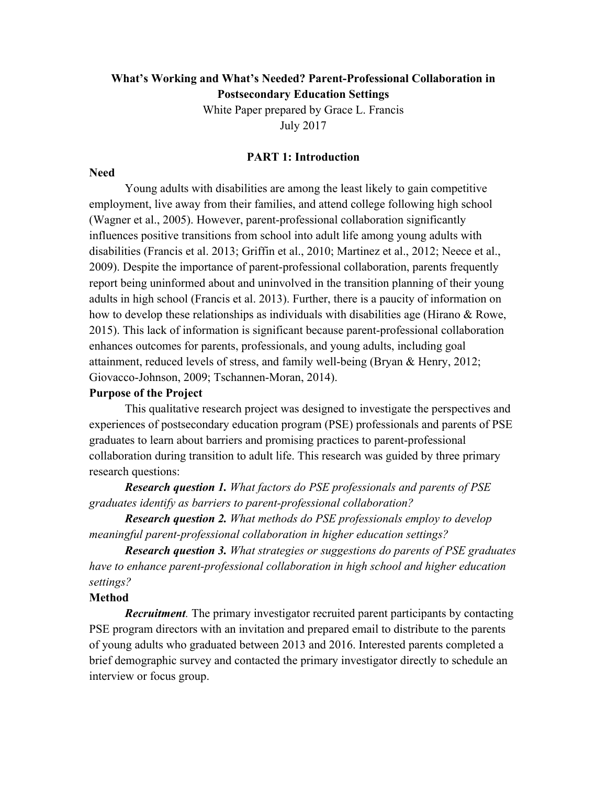## **What's Working and What's Needed? Parent-Professional Collaboration in Postsecondary Education Settings**

White Paper prepared by Grace L. Francis July 2017

#### **PART 1: Introduction**

#### **Need**

Young adults with disabilities are among the least likely to gain competitive employment, live away from their families, and attend college following high school (Wagner et al., 2005). However, parent-professional collaboration significantly influences positive transitions from school into adult life among young adults with disabilities (Francis et al. 2013; Griffin et al., 2010; Martinez et al., 2012; Neece et al., 2009). Despite the importance of parent-professional collaboration, parents frequently report being uninformed about and uninvolved in the transition planning of their young adults in high school (Francis et al. 2013). Further, there is a paucity of information on how to develop these relationships as individuals with disabilities age (Hirano & Rowe, 2015). This lack of information is significant because parent-professional collaboration enhances outcomes for parents, professionals, and young adults, including goal attainment, reduced levels of stress, and family well-being (Bryan & Henry, 2012; Giovacco-Johnson, 2009; Tschannen-Moran, 2014).

#### **Purpose of the Project**

This qualitative research project was designed to investigate the perspectives and experiences of postsecondary education program (PSE) professionals and parents of PSE graduates to learn about barriers and promising practices to parent-professional collaboration during transition to adult life. This research was guided by three primary research questions:

*Research question 1. What factors do PSE professionals and parents of PSE graduates identify as barriers to parent-professional collaboration?*

*Research question 2. What methods do PSE professionals employ to develop meaningful parent-professional collaboration in higher education settings?* 

*Research question 3. What strategies or suggestions do parents of PSE graduates have to enhance parent-professional collaboration in high school and higher education settings?*

#### **Method**

*Recruitment.* The primary investigator recruited parent participants by contacting PSE program directors with an invitation and prepared email to distribute to the parents of young adults who graduated between 2013 and 2016. Interested parents completed a brief demographic survey and contacted the primary investigator directly to schedule an interview or focus group.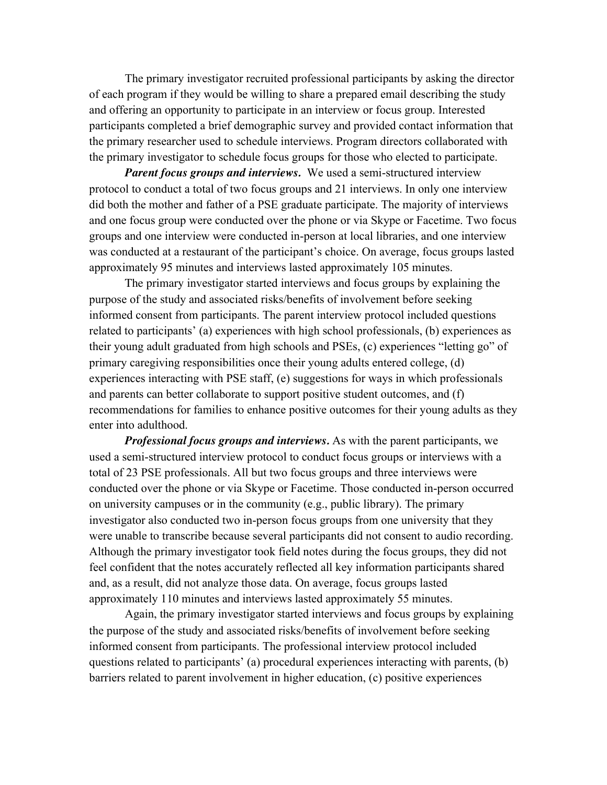The primary investigator recruited professional participants by asking the director of each program if they would be willing to share a prepared email describing the study and offering an opportunity to participate in an interview or focus group. Interested participants completed a brief demographic survey and provided contact information that the primary researcher used to schedule interviews. Program directors collaborated with the primary investigator to schedule focus groups for those who elected to participate.

*Parent focus groups and interviews.* We used a semi-structured interview protocol to conduct a total of two focus groups and 21 interviews. In only one interview did both the mother and father of a PSE graduate participate. The majority of interviews and one focus group were conducted over the phone or via Skype or Facetime. Two focus groups and one interview were conducted in-person at local libraries, and one interview was conducted at a restaurant of the participant's choice. On average, focus groups lasted approximately 95 minutes and interviews lasted approximately 105 minutes.

The primary investigator started interviews and focus groups by explaining the purpose of the study and associated risks/benefits of involvement before seeking informed consent from participants. The parent interview protocol included questions related to participants' (a) experiences with high school professionals, (b) experiences as their young adult graduated from high schools and PSEs, (c) experiences "letting go" of primary caregiving responsibilities once their young adults entered college, (d) experiences interacting with PSE staff, (e) suggestions for ways in which professionals and parents can better collaborate to support positive student outcomes, and (f) recommendations for families to enhance positive outcomes for their young adults as they enter into adulthood.

*Professional focus groups and interviews.* As with the parent participants, we used a semi-structured interview protocol to conduct focus groups or interviews with a total of 23 PSE professionals. All but two focus groups and three interviews were conducted over the phone or via Skype or Facetime. Those conducted in-person occurred on university campuses or in the community (e.g., public library). The primary investigator also conducted two in-person focus groups from one university that they were unable to transcribe because several participants did not consent to audio recording. Although the primary investigator took field notes during the focus groups, they did not feel confident that the notes accurately reflected all key information participants shared and, as a result, did not analyze those data. On average, focus groups lasted approximately 110 minutes and interviews lasted approximately 55 minutes.

Again, the primary investigator started interviews and focus groups by explaining the purpose of the study and associated risks/benefits of involvement before seeking informed consent from participants. The professional interview protocol included questions related to participants' (a) procedural experiences interacting with parents, (b) barriers related to parent involvement in higher education, (c) positive experiences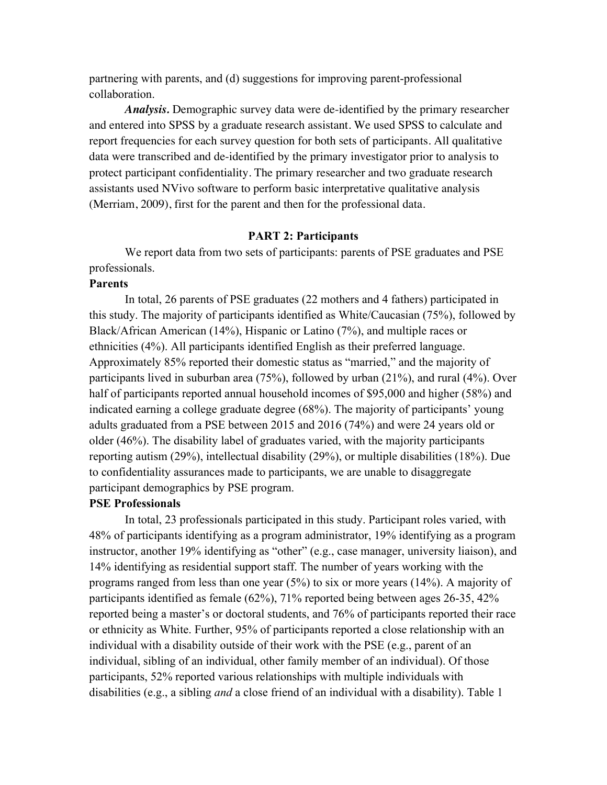partnering with parents, and (d) suggestions for improving parent-professional collaboration.

*Analysis.* Demographic survey data were de-identified by the primary researcher and entered into SPSS by a graduate research assistant. We used SPSS to calculate and report frequencies for each survey question for both sets of participants. All qualitative data were transcribed and de-identified by the primary investigator prior to analysis to protect participant confidentiality. The primary researcher and two graduate research assistants used NVivo software to perform basic interpretative qualitative analysis (Merriam, 2009), first for the parent and then for the professional data.

#### **PART 2: Participants**

We report data from two sets of participants: parents of PSE graduates and PSE professionals.

### **Parents**

In total, 26 parents of PSE graduates (22 mothers and 4 fathers) participated in this study. The majority of participants identified as White/Caucasian (75%), followed by Black/African American (14%), Hispanic or Latino (7%), and multiple races or ethnicities (4%). All participants identified English as their preferred language. Approximately 85% reported their domestic status as "married," and the majority of participants lived in suburban area (75%), followed by urban (21%), and rural (4%). Over half of participants reported annual household incomes of \$95,000 and higher (58%) and indicated earning a college graduate degree (68%). The majority of participants' young adults graduated from a PSE between 2015 and 2016 (74%) and were 24 years old or older (46%). The disability label of graduates varied, with the majority participants reporting autism (29%), intellectual disability (29%), or multiple disabilities (18%). Due to confidentiality assurances made to participants, we are unable to disaggregate participant demographics by PSE program.

### **PSE Professionals**

In total, 23 professionals participated in this study. Participant roles varied, with 48% of participants identifying as a program administrator, 19% identifying as a program instructor, another 19% identifying as "other" (e.g., case manager, university liaison), and 14% identifying as residential support staff. The number of years working with the programs ranged from less than one year (5%) to six or more years (14%). A majority of participants identified as female (62%), 71% reported being between ages 26-35, 42% reported being a master's or doctoral students, and 76% of participants reported their race or ethnicity as White. Further, 95% of participants reported a close relationship with an individual with a disability outside of their work with the PSE (e.g., parent of an individual, sibling of an individual, other family member of an individual). Of those participants, 52% reported various relationships with multiple individuals with disabilities (e.g., a sibling *and* a close friend of an individual with a disability). Table 1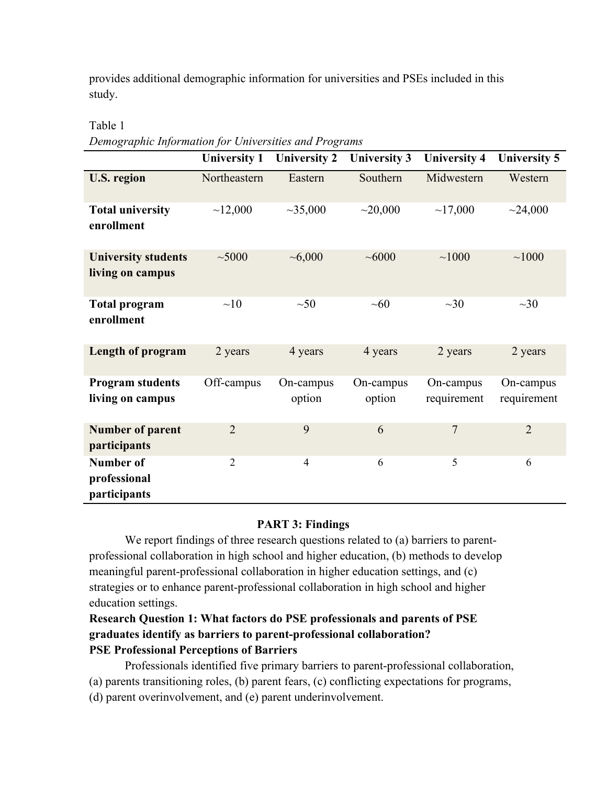provides additional demographic information for universities and PSEs included in this study.

## Table 1

*Demographic Information for Universities and Programs*

|                                                  | <b>University 1</b> | <b>University 2</b> | <b>University 3</b> | <b>University 4</b>      | <b>University 5</b>      |
|--------------------------------------------------|---------------------|---------------------|---------------------|--------------------------|--------------------------|
| <b>U.S. region</b>                               | Northeastern        | Eastern             | Southern            | Midwestern               | Western                  |
| <b>Total university</b><br>enrollment            | ~12,000             | ~1000               | ~20,000             | ~17,000                  | ~24,000                  |
| <b>University students</b><br>living on campus   | ~1000               | ~1000               | ~1000               | ~1000                    | ~1000                    |
| <b>Total program</b><br>enrollment               | ~10                 | $~1$ -50            | ~10                 | $\sim 30$                | $\sim 30$                |
| <b>Length of program</b>                         | 2 years             | 4 years             | 4 years             | 2 years                  | 2 years                  |
| <b>Program students</b><br>living on campus      | Off-campus          | On-campus<br>option | On-campus<br>option | On-campus<br>requirement | On-campus<br>requirement |
| <b>Number of parent</b><br>participants          | $\overline{2}$      | 9                   | 6                   | $\overline{7}$           | $\overline{2}$           |
| <b>Number of</b><br>professional<br>participants | $\overline{2}$      | $\overline{4}$      | 6                   | 5                        | 6                        |

# **PART 3: Findings**

We report findings of three research questions related to (a) barriers to parentprofessional collaboration in high school and higher education, (b) methods to develop meaningful parent-professional collaboration in higher education settings, and (c) strategies or to enhance parent-professional collaboration in high school and higher education settings.

# **Research Question 1: What factors do PSE professionals and parents of PSE graduates identify as barriers to parent-professional collaboration? PSE Professional Perceptions of Barriers**

Professionals identified five primary barriers to parent-professional collaboration, (a) parents transitioning roles, (b) parent fears, (c) conflicting expectations for programs,

(d) parent overinvolvement, and (e) parent underinvolvement.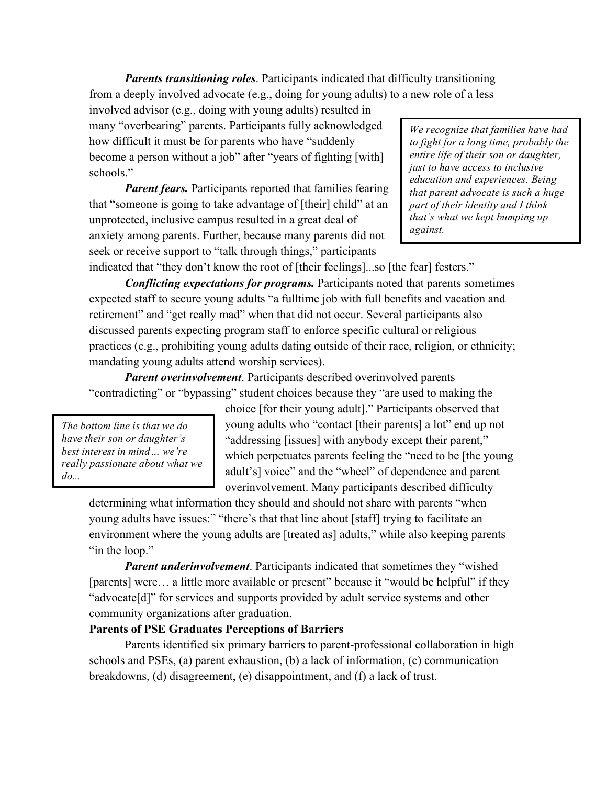*Parents transitioning roles*. Participants indicated that difficulty transitioning from a deeply involved advocate (e.g., doing for young adults) to a new role of a less

involved advisor (e.g., doing with young adults) resulted in many "overbearing" parents. Participants fully acknowledged how difficult it must be for parents who have "suddenly become a person without a job" after "years of fighting [with] schools."

*Parent fears.* Participants reported that families fearing that "someone is going to take advantage of [their] child" at an unprotected, inclusive campus resulted in a great deal of anxiety among parents. Further, because many parents did not seek or receive support to "talk through things," participants

*We recognize that families have had to fight for a long time, probably the entire life of their son or daughter, just to have access to inclusive education and experiences. Being that parent advocate is such a huge part of their identity and I think that's what we kept bumping up against.*

indicated that "they don't know the root of [their feelings]...so [the fear] festers."

*Conflicting expectations for programs.* Participants noted that parents sometimes expected staff to secure young adults "a fulltime job with full benefits and vacation and retirement" and "get really mad" when that did not occur. Several participants also discussed parents expecting program staff to enforce specific cultural or religious practices (e.g., prohibiting young adults dating outside of their race, religion, or ethnicity; mandating young adults attend worship services).

*Parent overinvolvement*. Participants described overinvolved parents "contradicting" or "bypassing" student choices because they "are used to making the

*The bottom line is that we do have their son or daughter's best interest in mind… we're really passionate about what we do...*

choice [for their young adult]." Participants observed that young adults who "contact [their parents] a lot" end up not "addressing [issues] with anybody except their parent," which perpetuates parents feeling the "need to be [the young adult's] voice" and the "wheel" of dependence and parent overinvolvement. Many participants described difficulty

determining what information they should and should not share with parents "when young adults have issues:" "there's that that line about [staff] trying to facilitate an environment where the young adults are [treated as] adults," while also keeping parents "in the loop."

*Parent underinvolvement*. Participants indicated that sometimes they "wished [parents] were... a little more available or present" because it "would be helpful" if they "advocate[d]" for services and supports provided by adult service systems and other community organizations after graduation.

## **Parents of PSE Graduates Perceptions of Barriers**

Parents identified six primary barriers to parent-professional collaboration in high schools and PSEs, (a) parent exhaustion, (b) a lack of information, (c) communication breakdowns, (d) disagreement, (e) disappointment, and (f) a lack of trust.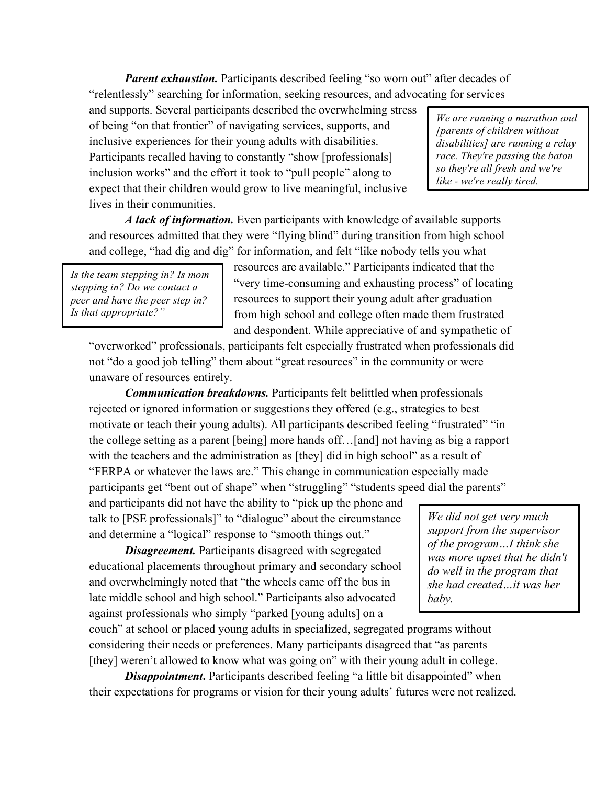*Parent exhaustion.* Participants described feeling "so worn out" after decades of "relentlessly" searching for information, seeking resources, and advocating for services

and supports. Several participants described the overwhelming stress of being "on that frontier" of navigating services, supports, and inclusive experiences for their young adults with disabilities. Participants recalled having to constantly "show [professionals] inclusion works" and the effort it took to "pull people" along to expect that their children would grow to live meaningful, inclusive lives in their communities.

*We are running a marathon and [parents of children without disabilities] are running a relay race. They're passing the baton so they're all fresh and we're like - we're really tired.*

*A lack of information.* Even participants with knowledge of available supports and resources admitted that they were "flying blind" during transition from high school and college, "had dig and dig" for information, and felt "like nobody tells you what

*Is the team stepping in? Is mom stepping in? Do we contact a peer and have the peer step in? Is that appropriate?"*

resources are available." Participants indicated that the "very time-consuming and exhausting process" of locating resources to support their young adult after graduation from high school and college often made them frustrated and despondent. While appreciative of and sympathetic of

"overworked" professionals, participants felt especially frustrated when professionals did not "do a good job telling" them about "great resources" in the community or were unaware of resources entirely.

*Communication breakdowns.* Participants felt belittled when professionals rejected or ignored information or suggestions they offered (e.g., strategies to best motivate or teach their young adults). All participants described feeling "frustrated" "in the college setting as a parent [being] more hands off…[and] not having as big a rapport with the teachers and the administration as [they] did in high school" as a result of "FERPA or whatever the laws are." This change in communication especially made participants get "bent out of shape" when "struggling" "students speed dial the parents"

and participants did not have the ability to "pick up the phone and talk to [PSE professionals]" to "dialogue" about the circumstance and determine a "logical" response to "smooth things out."

*Disagreement.* Participants disagreed with segregated educational placements throughout primary and secondary school and overwhelmingly noted that "the wheels came off the bus in late middle school and high school." Participants also advocated against professionals who simply "parked [young adults] on a

*We did not get very much support from the supervisor of the program…I think she was more upset that he didn't do well in the program that she had created…it was her baby.*

couch" at school or placed young adults in specialized, segregated programs without considering their needs or preferences. Many participants disagreed that "as parents [they] weren't allowed to know what was going on" with their young adult in college.

*Disappointment*. Participants described feeling "a little bit disappointed" when their expectations for programs or vision for their young adults' futures were not realized.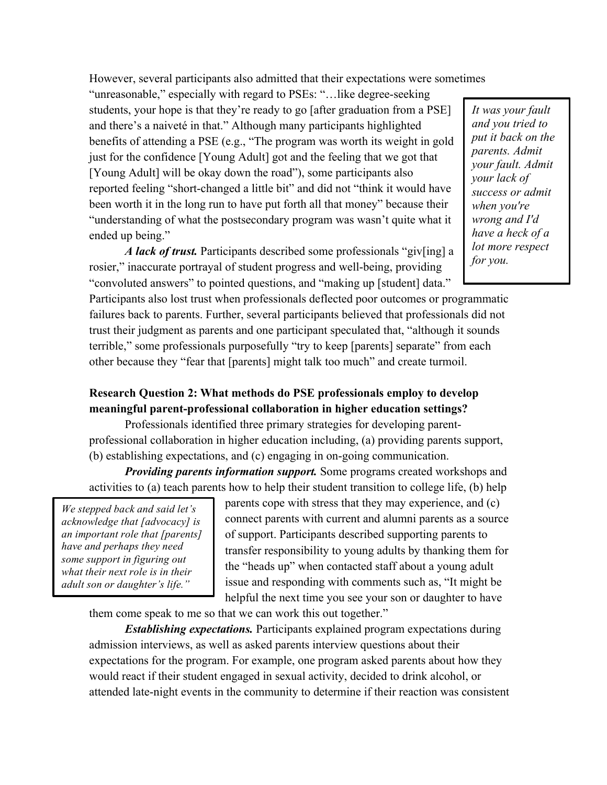However, several participants also admitted that their expectations were sometimes

"unreasonable," especially with regard to PSEs: "…like degree-seeking students, your hope is that they're ready to go [after graduation from a PSE] and there's a naiveté in that." Although many participants highlighted benefits of attending a PSE (e.g., "The program was worth its weight in gold just for the confidence [Young Adult] got and the feeling that we got that [Young Adult] will be okay down the road"), some participants also reported feeling "short-changed a little bit" and did not "think it would have been worth it in the long run to have put forth all that money" because their "understanding of what the postsecondary program was wasn't quite what it ended up being."

*It was your fault and you tried to put it back on the parents. Admit your fault. Admit your lack of success or admit when you're wrong and I'd have a heck of a lot more respect for you.*

*A lack of trust.* Participants described some professionals "giv[ing] a rosier," inaccurate portrayal of student progress and well-being, providing "convoluted answers" to pointed questions, and "making up [student] data."

Participants also lost trust when professionals deflected poor outcomes or programmatic failures back to parents. Further, several participants believed that professionals did not trust their judgment as parents and one participant speculated that, "although it sounds terrible," some professionals purposefully "try to keep [parents] separate" from each other because they "fear that [parents] might talk too much" and create turmoil.

# **Research Question 2: What methods do PSE professionals employ to develop meaningful parent-professional collaboration in higher education settings?**

Professionals identified three primary strategies for developing parentprofessional collaboration in higher education including, (a) providing parents support, (b) establishing expectations, and (c) engaging in on-going communication.

*Providing parents information support.* Some programs created workshops and activities to (a) teach parents how to help their student transition to college life, (b) help

*We stepped back and said let's acknowledge that [advocacy] is an important role that [parents] have and perhaps they need some support in figuring out what their next role is in their adult son or daughter's life."*

parents cope with stress that they may experience, and (c) connect parents with current and alumni parents as a source of support. Participants described supporting parents to transfer responsibility to young adults by thanking them for the "heads up" when contacted staff about a young adult issue and responding with comments such as, "It might be helpful the next time you see your son or daughter to have

them come speak to me so that we can work this out together."

*Establishing expectations.* Participants explained program expectations during admission interviews, as well as asked parents interview questions about their expectations for the program. For example, one program asked parents about how they would react if their student engaged in sexual activity, decided to drink alcohol, or attended late-night events in the community to determine if their reaction was consistent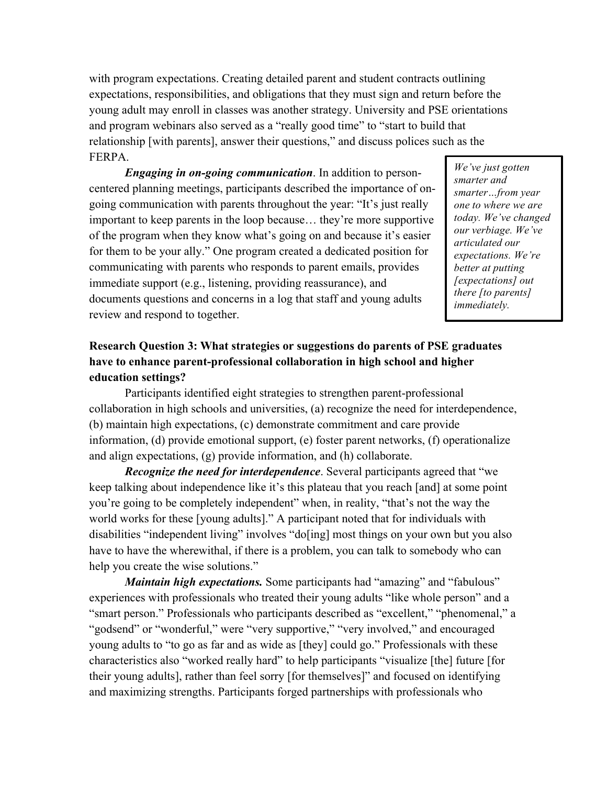with program expectations. Creating detailed parent and student contracts outlining expectations, responsibilities, and obligations that they must sign and return before the young adult may enroll in classes was another strategy. University and PSE orientations and program webinars also served as a "really good time" to "start to build that relationship [with parents], answer their questions," and discuss polices such as the FERPA.

*Engaging in on-going communication*. In addition to personcentered planning meetings, participants described the importance of ongoing communication with parents throughout the year: "It's just really important to keep parents in the loop because… they're more supportive of the program when they know what's going on and because it's easier for them to be your ally." One program created a dedicated position for communicating with parents who responds to parent emails, provides immediate support (e.g., listening, providing reassurance), and documents questions and concerns in a log that staff and young adults review and respond to together.

*We've just gotten smarter and smarter…from year one to where we are today. We've changed our verbiage. We've articulated our expectations. We're better at putting [expectations] out there [to parents] immediately.*

# **Research Question 3: What strategies or suggestions do parents of PSE graduates have to enhance parent-professional collaboration in high school and higher education settings?**

Participants identified eight strategies to strengthen parent-professional collaboration in high schools and universities, (a) recognize the need for interdependence, (b) maintain high expectations, (c) demonstrate commitment and care provide information, (d) provide emotional support, (e) foster parent networks, (f) operationalize and align expectations, (g) provide information, and (h) collaborate.

*Recognize the need for interdependence*. Several participants agreed that "we keep talking about independence like it's this plateau that you reach [and] at some point you're going to be completely independent" when, in reality, "that's not the way the world works for these [young adults]." A participant noted that for individuals with disabilities "independent living" involves "do[ing] most things on your own but you also have to have the wherewithal, if there is a problem, you can talk to somebody who can help you create the wise solutions."

*Maintain high expectations.* Some participants had "amazing" and "fabulous" experiences with professionals who treated their young adults "like whole person" and a "smart person." Professionals who participants described as "excellent," "phenomenal," a "godsend" or "wonderful," were "very supportive," "very involved," and encouraged young adults to "to go as far and as wide as [they] could go." Professionals with these characteristics also "worked really hard" to help participants "visualize [the] future [for their young adults], rather than feel sorry [for themselves]" and focused on identifying and maximizing strengths. Participants forged partnerships with professionals who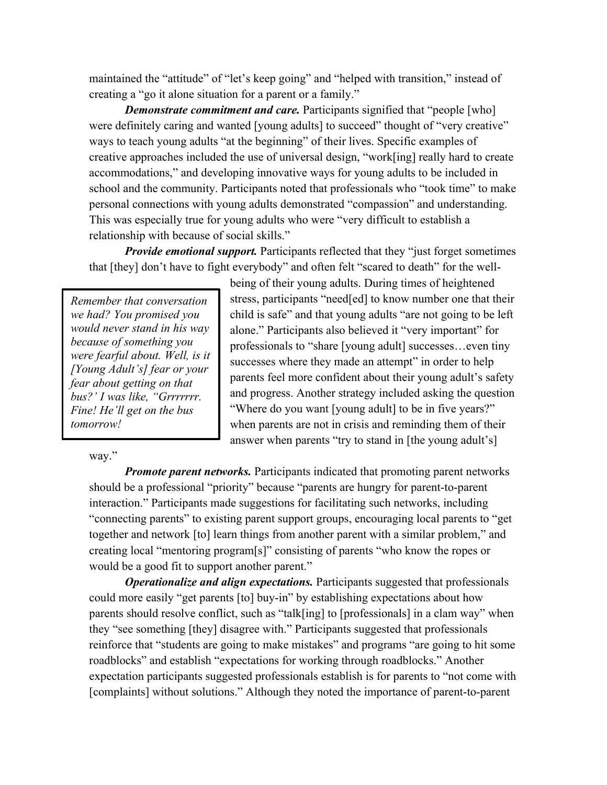maintained the "attitude" of "let's keep going" and "helped with transition," instead of creating a "go it alone situation for a parent or a family."

*Demonstrate commitment and care.* Participants signified that "people [who] were definitely caring and wanted [young adults] to succeed" thought of "very creative" ways to teach young adults "at the beginning" of their lives. Specific examples of creative approaches included the use of universal design, "work[ing] really hard to create accommodations," and developing innovative ways for young adults to be included in school and the community. Participants noted that professionals who "took time" to make personal connections with young adults demonstrated "compassion" and understanding. This was especially true for young adults who were "very difficult to establish a relationship with because of social skills."

*Provide emotional support.* Participants reflected that they "just forget sometimes" that [they] don't have to fight everybody" and often felt "scared to death" for the well-

*Remember that conversation we had? You promised you would never stand in his way because of something you were fearful about. Well, is it [Young Adult's] fear or your fear about getting on that bus?' I was like, "Grrrrrrr. Fine! He'll get on the bus tomorrow!*

way."

being of their young adults. During times of heightened stress, participants "need[ed] to know number one that their child is safe" and that young adults "are not going to be left alone." Participants also believed it "very important" for professionals to "share [young adult] successes…even tiny successes where they made an attempt" in order to help parents feel more confident about their young adult's safety and progress. Another strategy included asking the question "Where do you want [young adult] to be in five years?" when parents are not in crisis and reminding them of their answer when parents "try to stand in [the young adult's]

*Promote parent networks.* Participants indicated that promoting parent networks should be a professional "priority" because "parents are hungry for parent-to-parent interaction." Participants made suggestions for facilitating such networks, including "connecting parents" to existing parent support groups, encouraging local parents to "get together and network [to] learn things from another parent with a similar problem," and creating local "mentoring program[s]" consisting of parents "who know the ropes or would be a good fit to support another parent."

*Operationalize and align expectations.* Participants suggested that professionals could more easily "get parents [to] buy-in" by establishing expectations about how parents should resolve conflict, such as "talk[ing] to [professionals] in a clam way" when they "see something [they] disagree with." Participants suggested that professionals reinforce that "students are going to make mistakes" and programs "are going to hit some roadblocks" and establish "expectations for working through roadblocks." Another expectation participants suggested professionals establish is for parents to "not come with [complaints] without solutions." Although they noted the importance of parent-to-parent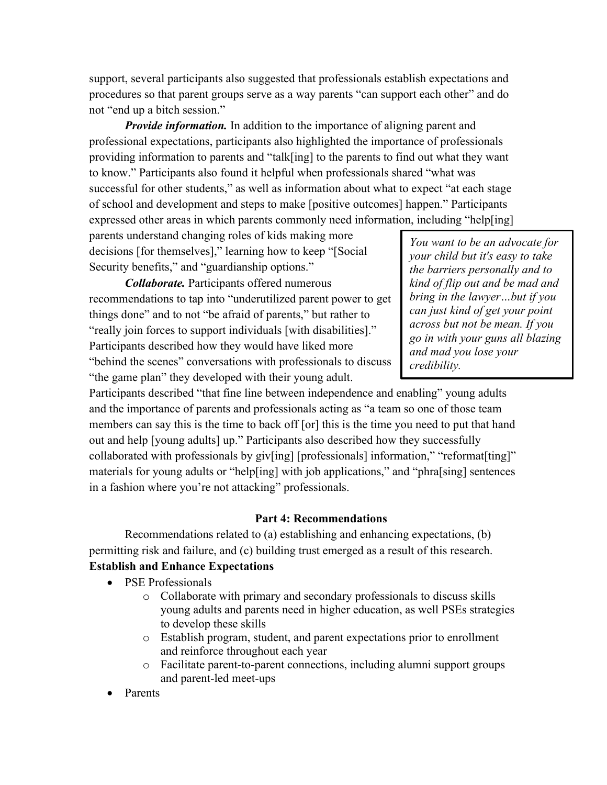support, several participants also suggested that professionals establish expectations and procedures so that parent groups serve as a way parents "can support each other" and do not "end up a bitch session."

*Provide information.* In addition to the importance of aligning parent and professional expectations, participants also highlighted the importance of professionals providing information to parents and "talk[ing] to the parents to find out what they want to know." Participants also found it helpful when professionals shared "what was successful for other students," as well as information about what to expect "at each stage of school and development and steps to make [positive outcomes] happen." Participants expressed other areas in which parents commonly need information, including "help[ing]

parents understand changing roles of kids making more decisions [for themselves]," learning how to keep "[Social Security benefits," and "guardianship options."

*Collaborate.* Participants offered numerous recommendations to tap into "underutilized parent power to get things done" and to not "be afraid of parents," but rather to "really join forces to support individuals [with disabilities]." Participants described how they would have liked more "behind the scenes" conversations with professionals to discuss "the game plan" they developed with their young adult.

*You want to be an advocate for your child but it's easy to take the barriers personally and to kind of flip out and be mad and bring in the lawyer…but if you can just kind of get your point across but not be mean. If you go in with your guns all blazing and mad you lose your credibility.*

Participants described "that fine line between independence and enabling" young adults and the importance of parents and professionals acting as "a team so one of those team members can say this is the time to back off [or] this is the time you need to put that hand out and help [young adults] up." Participants also described how they successfully collaborated with professionals by giv[ing] [professionals] information," "reformat[ting]" materials for young adults or "help[ing] with job applications," and "phra[sing] sentences in a fashion where you're not attacking" professionals.

## **Part 4: Recommendations**

Recommendations related to (a) establishing and enhancing expectations, (b) permitting risk and failure, and (c) building trust emerged as a result of this research. **Establish and Enhance Expectations** 

- PSE Professionals
	- o Collaborate with primary and secondary professionals to discuss skills young adults and parents need in higher education, as well PSEs strategies to develop these skills
	- o Establish program, student, and parent expectations prior to enrollment and reinforce throughout each year
	- o Facilitate parent-to-parent connections, including alumni support groups and parent-led meet-ups
- **Parents**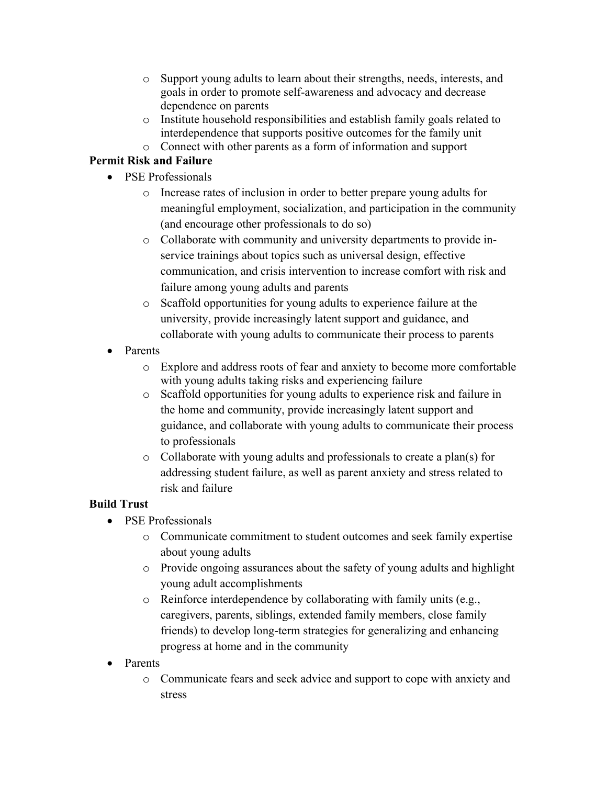- o Support young adults to learn about their strengths, needs, interests, and goals in order to promote self-awareness and advocacy and decrease dependence on parents
- o Institute household responsibilities and establish family goals related to interdependence that supports positive outcomes for the family unit
- o Connect with other parents as a form of information and support

# **Permit Risk and Failure**

- PSE Professionals
	- o Increase rates of inclusion in order to better prepare young adults for meaningful employment, socialization, and participation in the community (and encourage other professionals to do so)
	- o Collaborate with community and university departments to provide inservice trainings about topics such as universal design, effective communication, and crisis intervention to increase comfort with risk and failure among young adults and parents
	- o Scaffold opportunities for young adults to experience failure at the university, provide increasingly latent support and guidance, and collaborate with young adults to communicate their process to parents
- Parents
	- o Explore and address roots of fear and anxiety to become more comfortable with young adults taking risks and experiencing failure
	- o Scaffold opportunities for young adults to experience risk and failure in the home and community, provide increasingly latent support and guidance, and collaborate with young adults to communicate their process to professionals
	- o Collaborate with young adults and professionals to create a plan(s) for addressing student failure, as well as parent anxiety and stress related to risk and failure

# **Build Trust**

- PSE Professionals
	- o Communicate commitment to student outcomes and seek family expertise about young adults
	- o Provide ongoing assurances about the safety of young adults and highlight young adult accomplishments
	- o Reinforce interdependence by collaborating with family units (e.g., caregivers, parents, siblings, extended family members, close family friends) to develop long-term strategies for generalizing and enhancing progress at home and in the community
- Parents
	- o Communicate fears and seek advice and support to cope with anxiety and stress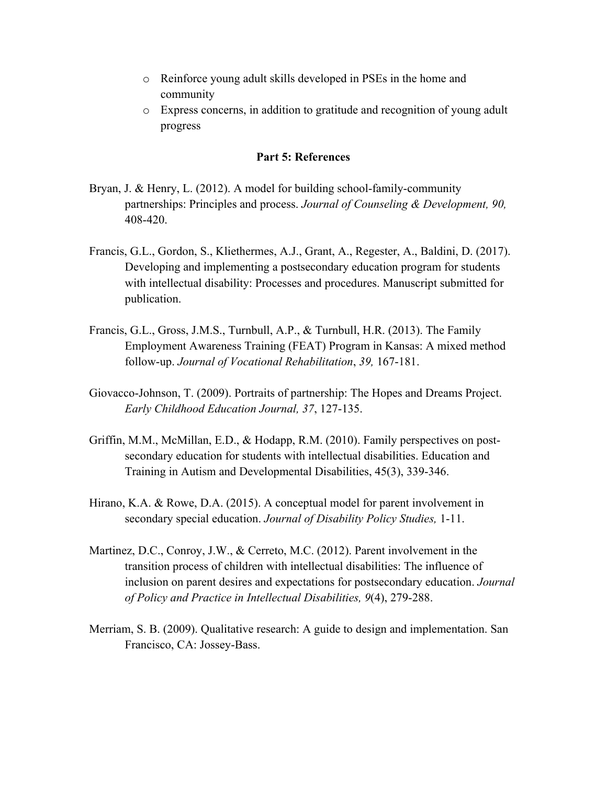- o Reinforce young adult skills developed in PSEs in the home and community
- o Express concerns, in addition to gratitude and recognition of young adult progress

### **Part 5: References**

- Bryan, J. & Henry, L. (2012). A model for building school-family-community partnerships: Principles and process. *Journal of Counseling & Development, 90,*  408-420.
- Francis, G.L., Gordon, S., Kliethermes, A.J., Grant, A., Regester, A., Baldini, D. (2017). Developing and implementing a postsecondary education program for students with intellectual disability: Processes and procedures. Manuscript submitted for publication.
- Francis, G.L., Gross, J.M.S., Turnbull, A.P., & Turnbull, H.R. (2013). The Family Employment Awareness Training (FEAT) Program in Kansas: A mixed method follow-up. *Journal of Vocational Rehabilitation*, *39,* 167-181.
- Giovacco-Johnson, T. (2009). Portraits of partnership: The Hopes and Dreams Project. *Early Childhood Education Journal, 37*, 127-135.
- Griffin, M.M., McMillan, E.D., & Hodapp, R.M. (2010). Family perspectives on postsecondary education for students with intellectual disabilities. Education and Training in Autism and Developmental Disabilities, 45(3), 339-346.
- Hirano, K.A. & Rowe, D.A. (2015). A conceptual model for parent involvement in secondary special education. *Journal of Disability Policy Studies,* 1-11.
- Martinez, D.C., Conroy, J.W., & Cerreto, M.C. (2012). Parent involvement in the transition process of children with intellectual disabilities: The influence of inclusion on parent desires and expectations for postsecondary education. *Journal of Policy and Practice in Intellectual Disabilities, 9*(4), 279-288.
- Merriam, S. B. (2009). Qualitative research: A guide to design and implementation. San Francisco, CA: Jossey-Bass.